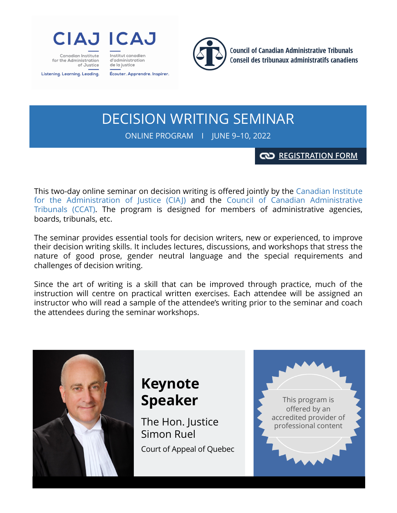

Canadian Institute for the Administration of Justice Listening. Learning. Leading.

Écouter. Apprendre. Inspirer.

Institut canadien

d'administration

de la justice



**Council of Canadian Administrative Tribunals** Conseil des tribunaux administratifs canadiens

DECISION WRITING SEMINAR

ONLINE PROGRAM Ι JUNE 9–10, 2022

### **[REGISTRATION FORM](https://www.imakeanonlinedonation.org/ciaj-icaj/P324/)**

This two-day online seminar on decision writing is offered jointly by the Canadian Institute for the Administration of Justice (CIAJ) and the Council of Canadian Administrative Tribunals (CCAT). The program is designed for members of administrative agencies, boards, tribunals, etc.

The seminar provides essential tools for decision writers, new or experienced, to improve their decision writing skills. It includes lectures, discussions, and workshops that stress the nature of good prose, gender neutral language and the special requirements and challenges of decision writing.

Since the art of writing is a skill that can be improved through practice, much of the instruction will centre on practical written exercises. Each attendee will be assigned an instructor who will read a sample of the attendee's writing prior to the seminar and coach the attendees during the seminar workshops.



## **Keynote Speaker**

The Hon. Justice Simon Ruel Court of Appeal of Quebec

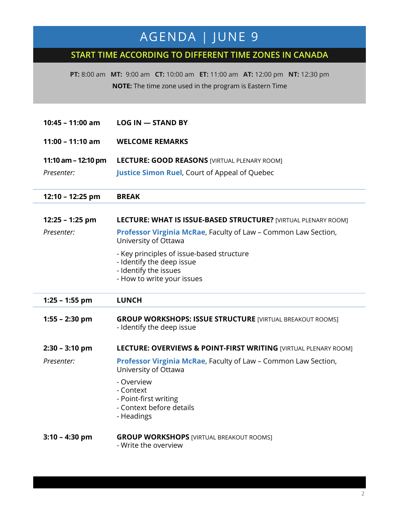## AGENDA │ JUNE 9

### **START TIME ACCORDING TO DIFFERENT TIME ZONES IN CANADA**

**PT:** 8:00 am **MT:** 9:00 am **CT:** 10:00 am **ET:** 11:00 am **AT:** 12:00 pm **NT:** 12:30 pm **NOTE:** The time zone used in the program is Eastern Time

| $10:45 - 11:00$ am                  | <b>LOG IN - STAND BY</b>                                                                                                                                                                                                                                                                  |
|-------------------------------------|-------------------------------------------------------------------------------------------------------------------------------------------------------------------------------------------------------------------------------------------------------------------------------------------|
| $11:00 - 11:10$ am                  | <b>WELCOME REMARKS</b>                                                                                                                                                                                                                                                                    |
| 11:10 am $-$ 12:10 pm<br>Presenter: | <b>LECTURE: GOOD REASONS [VIRTUAL PLENARY ROOM]</b><br><b>Justice Simon Ruel, Court of Appeal of Quebec</b>                                                                                                                                                                               |
| 12:10 - 12:25 pm                    | <b>BREAK</b>                                                                                                                                                                                                                                                                              |
| 12:25 - 1:25 pm<br>Presenter:       | LECTURE: WHAT IS ISSUE-BASED STRUCTURE? [VIRTUAL PLENARY ROOM]<br>Professor Virginia McRae, Faculty of Law - Common Law Section,<br>University of Ottawa<br>- Key principles of issue-based structure<br>- Identify the deep issue<br>- Identify the issues<br>- How to write your issues |
| $1:25 - 1:55$ pm                    | <b>LUNCH</b>                                                                                                                                                                                                                                                                              |
|                                     |                                                                                                                                                                                                                                                                                           |
| $1:55 - 2:30$ pm                    | <b>GROUP WORKSHOPS: ISSUE STRUCTURE [VIRTUAL BREAKOUT ROOMS]</b><br>- Identify the deep issue                                                                                                                                                                                             |
| $2:30 - 3:10$ pm                    | LECTURE: OVERVIEWS & POINT-FIRST WRITING [VIRTUAL PLENARY ROOM]                                                                                                                                                                                                                           |
| Presenter:                          | Professor Virginia McRae, Faculty of Law - Common Law Section,<br>University of Ottawa                                                                                                                                                                                                    |
|                                     | - Overview<br>- Context<br>- Point-first writing<br>- Context before details<br>- Headings                                                                                                                                                                                                |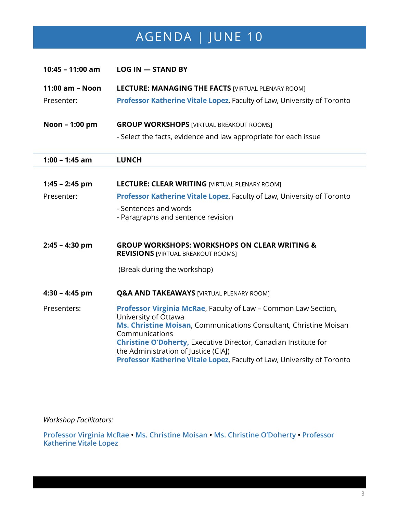# AGENDA | JUNE 10

| 10:45 - 11:00 am | $LOG IN - STANDARD BY$                                                                                      |
|------------------|-------------------------------------------------------------------------------------------------------------|
| 11:00 am - Noon  | <b>LECTURE: MANAGING THE FACTS [VIRTUAL PLENARY ROOM]</b>                                                   |
| Presenter:       | Professor Katherine Vitale Lopez, Faculty of Law, University of Toronto                                     |
| Noon - 1:00 pm   | <b>GROUP WORKSHOPS [VIRTUAL BREAKOUT ROOMS]</b>                                                             |
|                  | - Select the facts, evidence and law appropriate for each issue                                             |
| $1:00 - 1:45$ am | <b>LUNCH</b>                                                                                                |
|                  |                                                                                                             |
| $1:45 - 2:45$ pm | <b>LECTURE: CLEAR WRITING [VIRTUAL PLENARY ROOM]</b>                                                        |
| Presenter:       | Professor Katherine Vitale Lopez, Faculty of Law, University of Toronto                                     |
|                  | - Sentences and words<br>- Paragraphs and sentence revision                                                 |
| $2:45 - 4:30$ pm | <b>GROUP WORKSHOPS: WORKSHOPS ON CLEAR WRITING &amp;</b><br><b>REVISIONS [VIRTUAL BREAKOUT ROOMS]</b>       |
|                  | (Break during the workshop)                                                                                 |
| $4:30 - 4:45$ pm | <b>Q&amp;A AND TAKEAWAYS [VIRTUAL PLENARY ROOM]</b>                                                         |
| Presenters:      | Professor Virginia McRae, Faculty of Law - Common Law Section,                                              |
|                  | University of Ottawa<br>Ms. Christine Moisan, Communications Consultant, Christine Moisan<br>Communications |
|                  | Christine O'Doherty, Executive Director, Canadian Institute for                                             |
|                  | the Administration of Justice (CIAJ)                                                                        |
|                  | Professor Katherine Vitale Lopez, Faculty of Law, University of Toronto                                     |

*Workshop Facilitators:*

**Professor Virginia McRae • Ms. Christine Moisan • Ms. Christine O'Doherty • Professor Katherine Vitale Lopez**